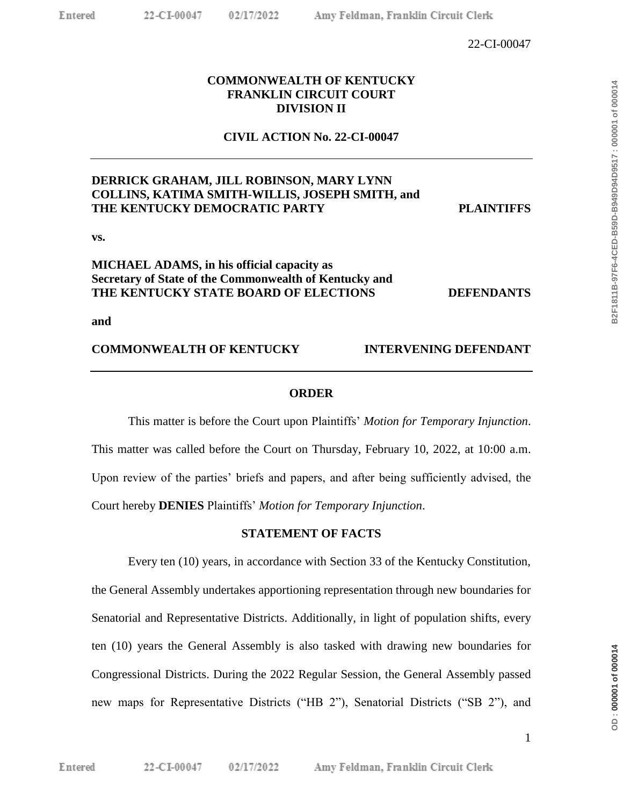# **COMMONWEALTH OF KENTUCKY FRANKLIN CIRCUIT COURT DIVISION II**

# **CIVIL ACTION No. 22-CI-00047**

# **DERRICK GRAHAM, JILL ROBINSON, MARY LYNN COLLINS, KATIMA SMITH-WILLIS, JOSEPH SMITH, and THE KENTUCKY DEMOCRATIC PARTY PLAINTIFFS**

**vs.**

# **MICHAEL ADAMS, in his official capacity as Secretary of State of the Commonwealth of Kentucky and THE KENTUCKY STATE BOARD OF ELECTIONS DEFENDANTS**

**and**

## **COMMONWEALTH OF KENTUCKY INTERVENING DEFENDANT**

## **ORDER**

This matter is before the Court upon Plaintiffs' *Motion for Temporary Injunction*. This matter was called before the Court on Thursday, February 10, 2022, at 10:00 a.m. Upon review of the parties' briefs and papers, and after being sufficiently advised, the Court hereby **DENIES** Plaintiffs' *Motion for Temporary Injunction*.

## **STATEMENT OF FACTS**

Every ten (10) years, in accordance with Section 33 of the Kentucky Constitution, the General Assembly undertakes apportioning representation through new boundaries for Senatorial and Representative Districts. Additionally, in light of population shifts, every ten (10) years the General Assembly is also tasked with drawing new boundaries for Congressional Districts. During the 2022 Regular Session, the General Assembly passed new maps for Representative Districts ("HB 2"), Senatorial Districts ("SB 2"), and

DD:000001 of 000014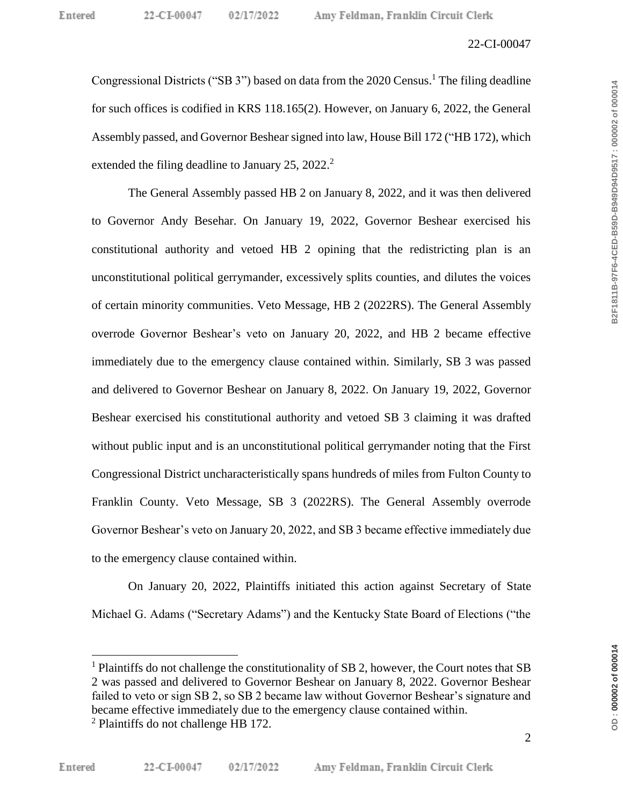#### 22-CI-00047

Congressional Districts ("SB 3") based on data from the 2020 Census. <sup>1</sup> The filing deadline for such offices is codified in KRS 118.165(2). However, on January 6, 2022, the General Assembly passed, and Governor Beshear signed into law, House Bill 172 ("HB 172), which extended the filing deadline to January 25, 2022.<sup>2</sup>

The General Assembly passed HB 2 on January 8, 2022, and it was then delivered to Governor Andy Besehar. On January 19, 2022, Governor Beshear exercised his constitutional authority and vetoed HB 2 opining that the redistricting plan is an unconstitutional political gerrymander, excessively splits counties, and dilutes the voices of certain minority communities. Veto Message, HB 2 (2022RS). The General Assembly overrode Governor Beshear's veto on January 20, 2022, and HB 2 became effective immediately due to the emergency clause contained within. Similarly, SB 3 was passed and delivered to Governor Beshear on January 8, 2022. On January 19, 2022, Governor Beshear exercised his constitutional authority and vetoed SB 3 claiming it was drafted without public input and is an unconstitutional political gerrymander noting that the First Congressional District uncharacteristically spans hundreds of miles from Fulton County to Franklin County. Veto Message, SB 3 (2022RS). The General Assembly overrode Governor Beshear's veto on January 20, 2022, and SB 3 became effective immediately due to the emergency clause contained within.

On January 20, 2022, Plaintiffs initiated this action against Secretary of State Michael G. Adams ("Secretary Adams") and the Kentucky State Board of Elections ("the

B2F1811B-97F6-4CED-B59D-B949D94D9517:000002 of 000014

<sup>&</sup>lt;sup>1</sup> Plaintiffs do not challenge the constitutionality of SB 2, however, the Court notes that SB 2 was passed and delivered to Governor Beshear on January 8, 2022. Governor Beshear failed to veto or sign SB 2, so SB 2 became law without Governor Beshear's signature and became effective immediately due to the emergency clause contained within.  $2$  Plaintiffs do not challenge HB 172.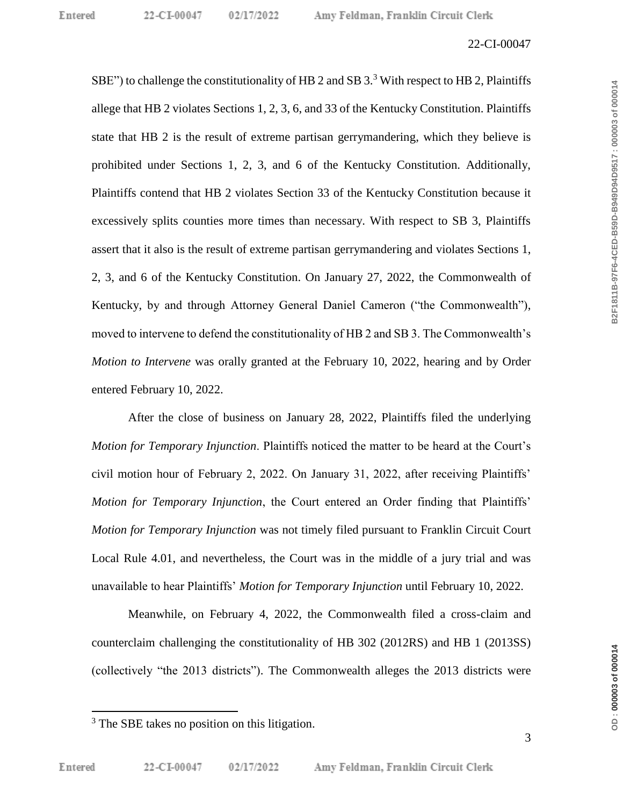SBE") to challenge the constitutionality of HB 2 and SB  $3.3$  With respect to HB 2, Plaintiffs allege that HB 2 violates Sections 1, 2, 3, 6, and 33 of the Kentucky Constitution. Plaintiffs state that HB 2 is the result of extreme partisan gerrymandering, which they believe is prohibited under Sections 1, 2, 3, and 6 of the Kentucky Constitution. Additionally, Plaintiffs contend that HB 2 violates Section 33 of the Kentucky Constitution because it excessively splits counties more times than necessary. With respect to SB 3, Plaintiffs assert that it also is the result of extreme partisan gerrymandering and violates Sections 1, 2, 3, and 6 of the Kentucky Constitution. On January 27, 2022, the Commonwealth of Kentucky, by and through Attorney General Daniel Cameron ("the Commonwealth"), moved to intervene to defend the constitutionality of HB 2 and SB 3. The Commonwealth's *Motion to Intervene* was orally granted at the February 10, 2022, hearing and by Order entered February 10, 2022.

After the close of business on January 28, 2022, Plaintiffs filed the underlying *Motion for Temporary Injunction*. Plaintiffs noticed the matter to be heard at the Court's civil motion hour of February 2, 2022. On January 31, 2022, after receiving Plaintiffs' *Motion for Temporary Injunction*, the Court entered an Order finding that Plaintiffs' *Motion for Temporary Injunction* was not timely filed pursuant to Franklin Circuit Court Local Rule 4.01, and nevertheless, the Court was in the middle of a jury trial and was unavailable to hear Plaintiffs' *Motion for Temporary Injunction* until February 10, 2022.

Meanwhile, on February 4, 2022, the Commonwealth filed a cross-claim and counterclaim challenging the constitutionality of HB 302 (2012RS) and HB 1 (2013SS) (collectively "the 2013 districts"). The Commonwealth alleges the 2013 districts were

B2F1811B-97F6-4CED-B59D-B949D94D9517:000003 of 000014

<sup>&</sup>lt;sup>3</sup> The SBE takes no position on this litigation.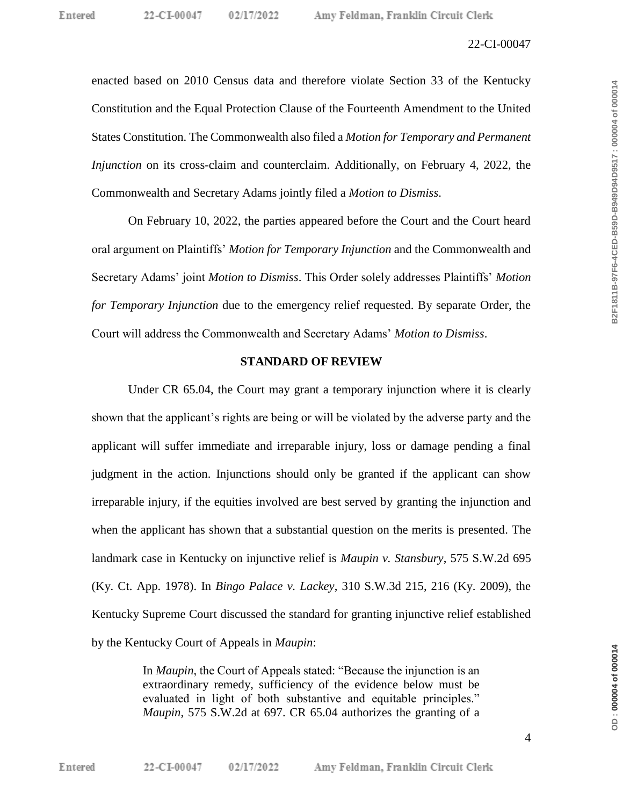enacted based on 2010 Census data and therefore violate Section 33 of the Kentucky Constitution and the Equal Protection Clause of the Fourteenth Amendment to the United States Constitution. The Commonwealth also filed a *Motion for Temporary and Permanent Injunction* on its cross-claim and counterclaim. Additionally, on February 4, 2022, the Commonwealth and Secretary Adams jointly filed a *Motion to Dismiss*.

On February 10, 2022, the parties appeared before the Court and the Court heard oral argument on Plaintiffs' *Motion for Temporary Injunction* and the Commonwealth and Secretary Adams' joint *Motion to Dismiss*. This Order solely addresses Plaintiffs' *Motion for Temporary Injunction* due to the emergency relief requested. By separate Order, the Court will address the Commonwealth and Secretary Adams' *Motion to Dismiss*.

#### **STANDARD OF REVIEW**

Under CR 65.04, the Court may grant a temporary injunction where it is clearly shown that the applicant's rights are being or will be violated by the adverse party and the applicant will suffer immediate and irreparable injury, loss or damage pending a final judgment in the action. Injunctions should only be granted if the applicant can show irreparable injury, if the equities involved are best served by granting the injunction and when the applicant has shown that a substantial question on the merits is presented. The landmark case in Kentucky on injunctive relief is *Maupin v. Stansbury*, 575 S.W.2d 695 (Ky. Ct. App. 1978). In *Bingo Palace v. Lackey*, 310 S.W.3d 215, 216 (Ky. 2009), the Kentucky Supreme Court discussed the standard for granting injunctive relief established by the Kentucky Court of Appeals in *Maupin*:

> In *Maupin*, the Court of Appeals stated: "Because the injunction is an extraordinary remedy, sufficiency of the evidence below must be evaluated in light of both substantive and equitable principles." *Maupin*, 575 S.W.2d at 697. CR 65.04 authorizes the granting of a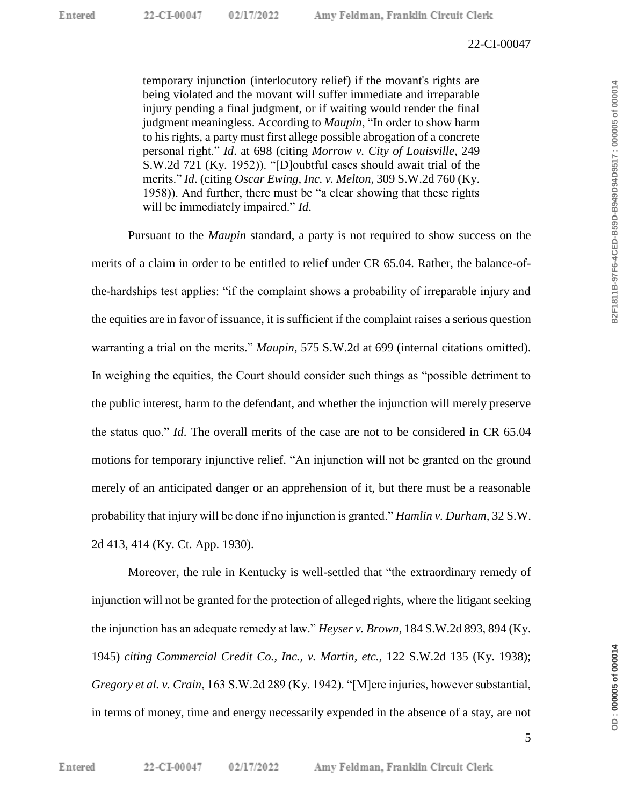temporary injunction (interlocutory relief) if the movant's rights are being violated and the movant will suffer immediate and irreparable injury pending a final judgment, or if waiting would render the final judgment meaningless. According to *Maupin*, "In order to show harm to his rights, a party must first allege possible abrogation of a concrete personal right." *Id*. at 698 (citing *Morrow v. City of Louisville*, 249 S.W.2d 721 (Ky. 1952)). "[D]oubtful cases should await trial of the merits." *Id*. (citing *Oscar Ewing, Inc. v. Melton*, 309 S.W.2d 760 (Ky. 1958)). And further, there must be "a clear showing that these rights will be immediately impaired." *Id*.

Pursuant to the *Maupin* standard, a party is not required to show success on the merits of a claim in order to be entitled to relief under CR 65.04. Rather, the balance-ofthe-hardships test applies: "if the complaint shows a probability of irreparable injury and the equities are in favor of issuance, it is sufficient if the complaint raises a serious question warranting a trial on the merits." *Maupin*, 575 S.W.2d at 699 (internal citations omitted). In weighing the equities, the Court should consider such things as "possible detriment to the public interest, harm to the defendant, and whether the injunction will merely preserve the status quo." *Id*. The overall merits of the case are not to be considered in CR 65.04 motions for temporary injunctive relief. "An injunction will not be granted on the ground merely of an anticipated danger or an apprehension of it, but there must be a reasonable probability that injury will be done if no injunction is granted." *Hamlin v. Durham,* 32 S.W. 2d 413, 414 (Ky. Ct. App. 1930).

Moreover, the rule in Kentucky is well-settled that "the extraordinary remedy of injunction will not be granted for the protection of alleged rights, where the litigant seeking the injunction has an adequate remedy at law." *Heyser v. Brown*, 184 S.W.2d 893, 894 (Ky. 1945) *citing Commercial Credit Co., Inc., v. Martin, etc.*, 122 S.W.2d 135 (Ky. 1938); *Gregory et al. v. Crain*, 163 S.W.2d 289 (Ky. 1942). "[M]ere injuries, however substantial, in terms of money, time and energy necessarily expended in the absence of a stay, are not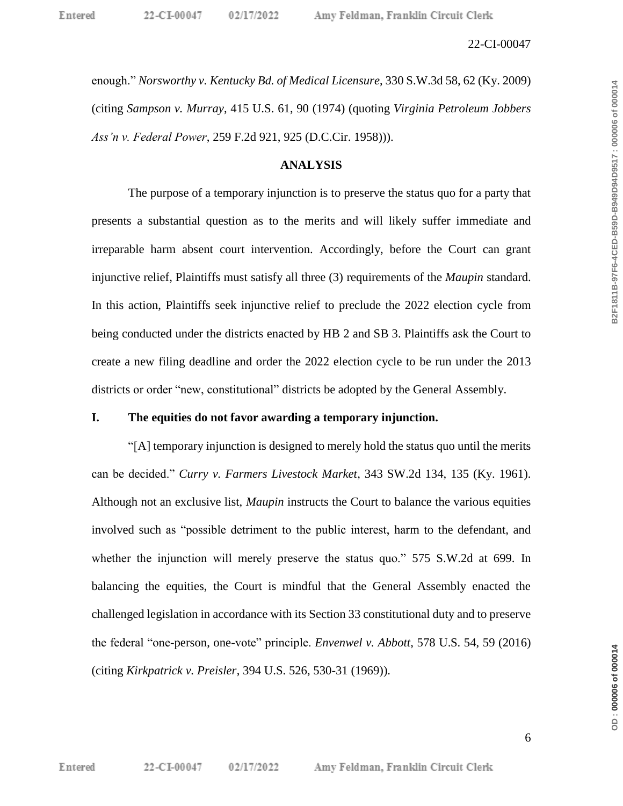enough." *Norsworthy v. Kentucky Bd. of Medical Licensure*, 330 S.W.3d 58, 62 (Ky. 2009) (citing *Sampson v. Murray*, 415 U.S. 61, 90 (1974) (quoting *Virginia Petroleum Jobbers Ass'n v. Federal Power*, 259 F.2d 921, 925 (D.C.Cir. 1958))).

## **ANALYSIS**

The purpose of a temporary injunction is to preserve the status quo for a party that presents a substantial question as to the merits and will likely suffer immediate and irreparable harm absent court intervention. Accordingly, before the Court can grant injunctive relief, Plaintiffs must satisfy all three (3) requirements of the *Maupin* standard. In this action, Plaintiffs seek injunctive relief to preclude the 2022 election cycle from being conducted under the districts enacted by HB 2 and SB 3. Plaintiffs ask the Court to create a new filing deadline and order the 2022 election cycle to be run under the 2013 districts or order "new, constitutional" districts be adopted by the General Assembly.

## **I. The equities do not favor awarding a temporary injunction.**

"[A] temporary injunction is designed to merely hold the status quo until the merits can be decided." *Curry v. Farmers Livestock Market*, 343 SW.2d 134, 135 (Ky. 1961). Although not an exclusive list, *Maupin* instructs the Court to balance the various equities involved such as "possible detriment to the public interest, harm to the defendant, and whether the injunction will merely preserve the status quo." 575 S.W.2d at 699. In balancing the equities, the Court is mindful that the General Assembly enacted the challenged legislation in accordance with its Section 33 constitutional duty and to preserve the federal "one-person, one-vote" principle. *Envenwel v. Abbott*, 578 U.S. 54, 59 (2016) (citing *Kirkpatrick v. Preisler*, 394 U.S. 526, 530-31 (1969)).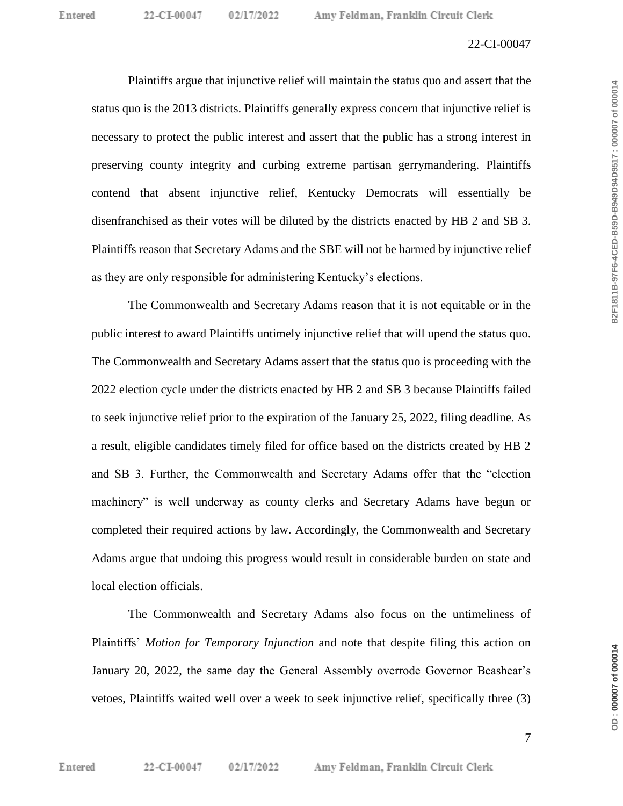Plaintiffs argue that injunctive relief will maintain the status quo and assert that the status quo is the 2013 districts. Plaintiffs generally express concern that injunctive relief is necessary to protect the public interest and assert that the public has a strong interest in preserving county integrity and curbing extreme partisan gerrymandering. Plaintiffs contend that absent injunctive relief, Kentucky Democrats will essentially be disenfranchised as their votes will be diluted by the districts enacted by HB 2 and SB 3. Plaintiffs reason that Secretary Adams and the SBE will not be harmed by injunctive relief as they are only responsible for administering Kentucky's elections.

02/17/2022

The Commonwealth and Secretary Adams reason that it is not equitable or in the public interest to award Plaintiffs untimely injunctive relief that will upend the status quo. The Commonwealth and Secretary Adams assert that the status quo is proceeding with the 2022 election cycle under the districts enacted by HB 2 and SB 3 because Plaintiffs failed to seek injunctive relief prior to the expiration of the January 25, 2022, filing deadline. As a result, eligible candidates timely filed for office based on the districts created by HB 2 and SB 3. Further, the Commonwealth and Secretary Adams offer that the "election machinery" is well underway as county clerks and Secretary Adams have begun or completed their required actions by law. Accordingly, the Commonwealth and Secretary Adams argue that undoing this progress would result in considerable burden on state and local election officials.

The Commonwealth and Secretary Adams also focus on the untimeliness of Plaintiffs' *Motion for Temporary Injunction* and note that despite filing this action on January 20, 2022, the same day the General Assembly overrode Governor Beashear's vetoes, Plaintiffs waited well over a week to seek injunctive relief, specifically three (3)

DD:00007 of 000014

**OD : 000007 of 000014 B2F1811B-97F6-4CED-B59D-B949D94D9517 : 000007 of 000014**

B2F1811B-97F6-4CED-B59D-B949D94D9517:000007 of 000014

7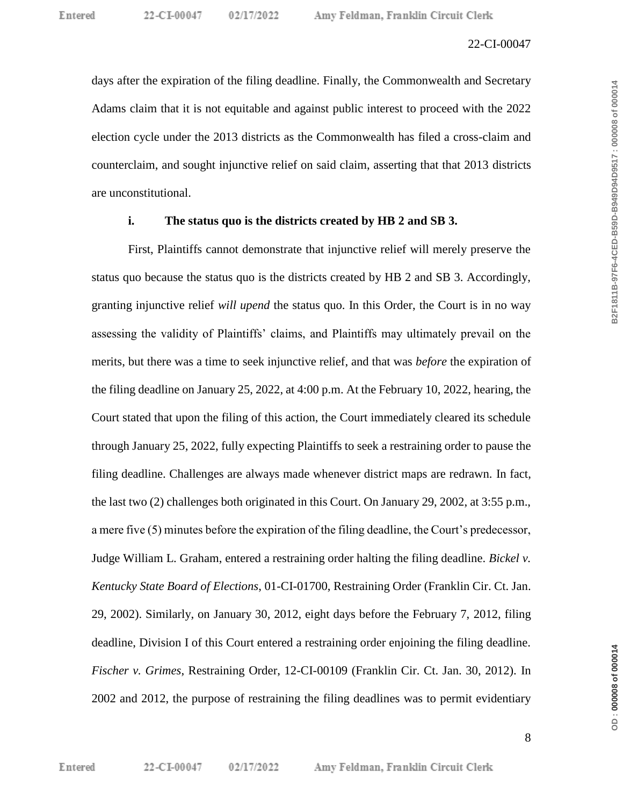days after the expiration of the filing deadline. Finally, the Commonwealth and Secretary Adams claim that it is not equitable and against public interest to proceed with the 2022 election cycle under the 2013 districts as the Commonwealth has filed a cross-claim and counterclaim, and sought injunctive relief on said claim, asserting that that 2013 districts are unconstitutional.

## **i. The status quo is the districts created by HB 2 and SB 3.**

First, Plaintiffs cannot demonstrate that injunctive relief will merely preserve the status quo because the status quo is the districts created by HB 2 and SB 3. Accordingly, granting injunctive relief *will upend* the status quo. In this Order, the Court is in no way assessing the validity of Plaintiffs' claims, and Plaintiffs may ultimately prevail on the merits, but there was a time to seek injunctive relief, and that was *before* the expiration of the filing deadline on January 25, 2022, at 4:00 p.m. At the February 10, 2022, hearing, the Court stated that upon the filing of this action, the Court immediately cleared its schedule through January 25, 2022, fully expecting Plaintiffs to seek a restraining order to pause the filing deadline. Challenges are always made whenever district maps are redrawn. In fact, the last two (2) challenges both originated in this Court. On January 29, 2002, at 3:55 p.m., a mere five (5) minutes before the expiration of the filing deadline, the Court's predecessor, Judge William L. Graham, entered a restraining order halting the filing deadline. *Bickel v. Kentucky State Board of Elections*, 01-CI-01700, Restraining Order (Franklin Cir. Ct. Jan. 29, 2002). Similarly, on January 30, 2012, eight days before the February 7, 2012, filing deadline, Division I of this Court entered a restraining order enjoining the filing deadline. *Fischer v. Grimes*, Restraining Order, 12-CI-00109 (Franklin Cir. Ct. Jan. 30, 2012). In 2002 and 2012, the purpose of restraining the filing deadlines was to permit evidentiary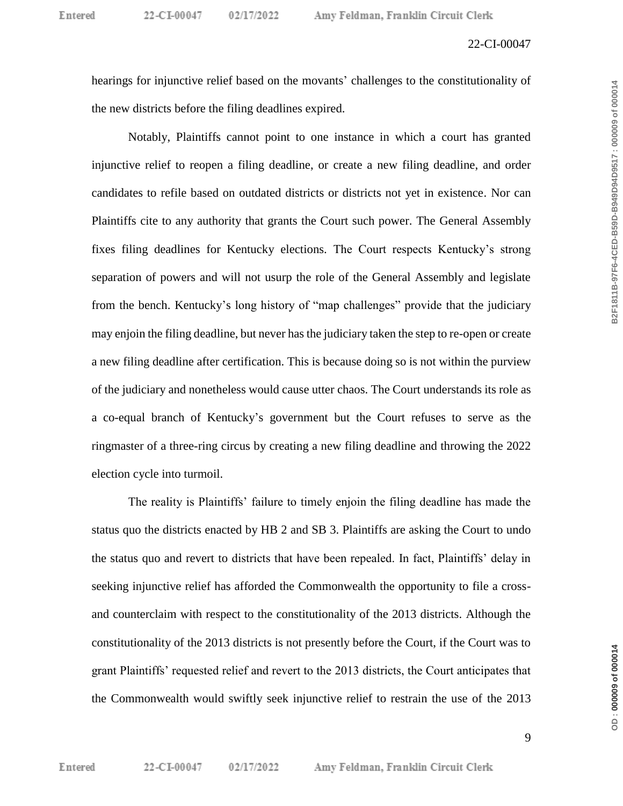hearings for injunctive relief based on the movants' challenges to the constitutionality of the new districts before the filing deadlines expired.

Notably, Plaintiffs cannot point to one instance in which a court has granted injunctive relief to reopen a filing deadline, or create a new filing deadline, and order candidates to refile based on outdated districts or districts not yet in existence. Nor can Plaintiffs cite to any authority that grants the Court such power. The General Assembly fixes filing deadlines for Kentucky elections. The Court respects Kentucky's strong separation of powers and will not usurp the role of the General Assembly and legislate from the bench. Kentucky's long history of "map challenges" provide that the judiciary may enjoin the filing deadline, but never has the judiciary taken the step to re-open or create a new filing deadline after certification. This is because doing so is not within the purview of the judiciary and nonetheless would cause utter chaos. The Court understands its role as a co-equal branch of Kentucky's government but the Court refuses to serve as the ringmaster of a three-ring circus by creating a new filing deadline and throwing the 2022 election cycle into turmoil.

The reality is Plaintiffs' failure to timely enjoin the filing deadline has made the status quo the districts enacted by HB 2 and SB 3. Plaintiffs are asking the Court to undo the status quo and revert to districts that have been repealed. In fact, Plaintiffs' delay in seeking injunctive relief has afforded the Commonwealth the opportunity to file a crossand counterclaim with respect to the constitutionality of the 2013 districts. Although the constitutionality of the 2013 districts is not presently before the Court, if the Court was to grant Plaintiffs' requested relief and revert to the 2013 districts, the Court anticipates that the Commonwealth would swiftly seek injunctive relief to restrain the use of the 2013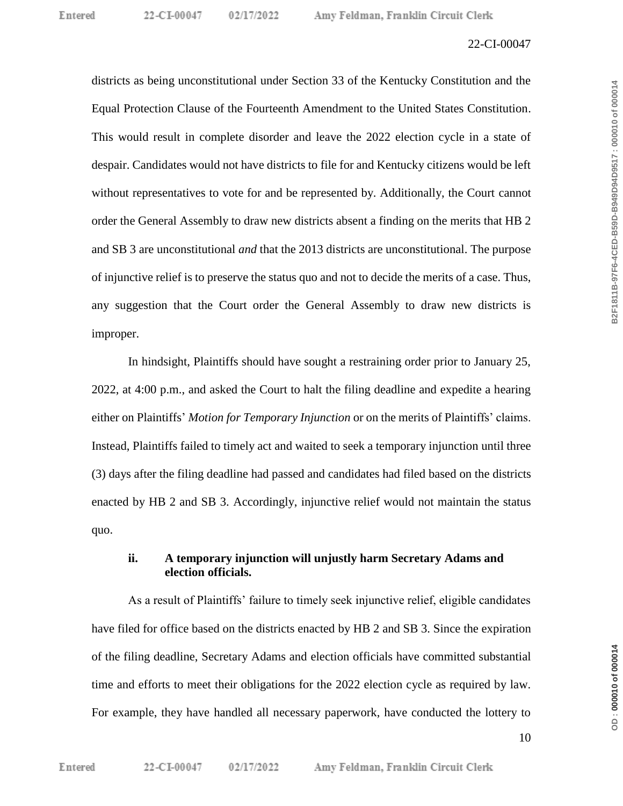districts as being unconstitutional under Section 33 of the Kentucky Constitution and the Equal Protection Clause of the Fourteenth Amendment to the United States Constitution. This would result in complete disorder and leave the 2022 election cycle in a state of despair. Candidates would not have districts to file for and Kentucky citizens would be left without representatives to vote for and be represented by. Additionally, the Court cannot order the General Assembly to draw new districts absent a finding on the merits that HB 2 and SB 3 are unconstitutional *and* that the 2013 districts are unconstitutional. The purpose of injunctive relief is to preserve the status quo and not to decide the merits of a case. Thus, any suggestion that the Court order the General Assembly to draw new districts is improper.

In hindsight, Plaintiffs should have sought a restraining order prior to January 25, 2022, at 4:00 p.m., and asked the Court to halt the filing deadline and expedite a hearing either on Plaintiffs' *Motion for Temporary Injunction* or on the merits of Plaintiffs' claims. Instead, Plaintiffs failed to timely act and waited to seek a temporary injunction until three (3) days after the filing deadline had passed and candidates had filed based on the districts enacted by HB 2 and SB 3. Accordingly, injunctive relief would not maintain the status quo.

## **ii. A temporary injunction will unjustly harm Secretary Adams and election officials.**

As a result of Plaintiffs' failure to timely seek injunctive relief, eligible candidates have filed for office based on the districts enacted by HB 2 and SB 3. Since the expiration of the filing deadline, Secretary Adams and election officials have committed substantial time and efforts to meet their obligations for the 2022 election cycle as required by law. For example, they have handled all necessary paperwork, have conducted the lottery to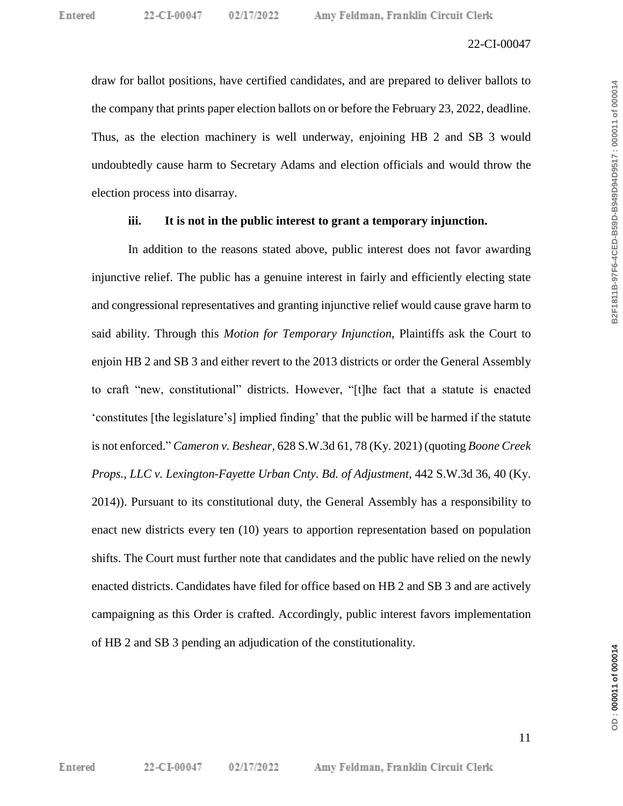draw for ballot positions, have certified candidates, and are prepared to deliver ballots to the company that prints paper election ballots on or before the February 23, 2022, deadline. Thus, as the election machinery is well underway, enjoining HB 2 and SB 3 would undoubtedly cause harm to Secretary Adams and election officials and would throw the election process into disarray.

02/17/2022

## **iii. It is not in the public interest to grant a temporary injunction.**

In addition to the reasons stated above, public interest does not favor awarding injunctive relief. The public has a genuine interest in fairly and efficiently electing state and congressional representatives and granting injunctive relief would cause grave harm to said ability. Through this *Motion for Temporary Injunction*, Plaintiffs ask the Court to enjoin HB 2 and SB 3 and either revert to the 2013 districts or order the General Assembly to craft "new, constitutional" districts. However, "[t]he fact that a statute is enacted 'constitutes [the legislature's] implied finding' that the public will be harmed if the statute is not enforced." *Cameron v. Beshear*, 628 S.W.3d 61, 78 (Ky. 2021) (quoting *Boone Creek Props., LLC v. Lexington-Fayette Urban Cnty. Bd. of Adjustment*, 442 S.W.3d 36, 40 (Ky. 2014)). Pursuant to its constitutional duty, the General Assembly has a responsibility to enact new districts every ten (10) years to apportion representation based on population shifts. The Court must further note that candidates and the public have relied on the newly enacted districts. Candidates have filed for office based on HB 2 and SB 3 and are actively campaigning as this Order is crafted. Accordingly, public interest favors implementation of HB 2 and SB 3 pending an adjudication of the constitutionality.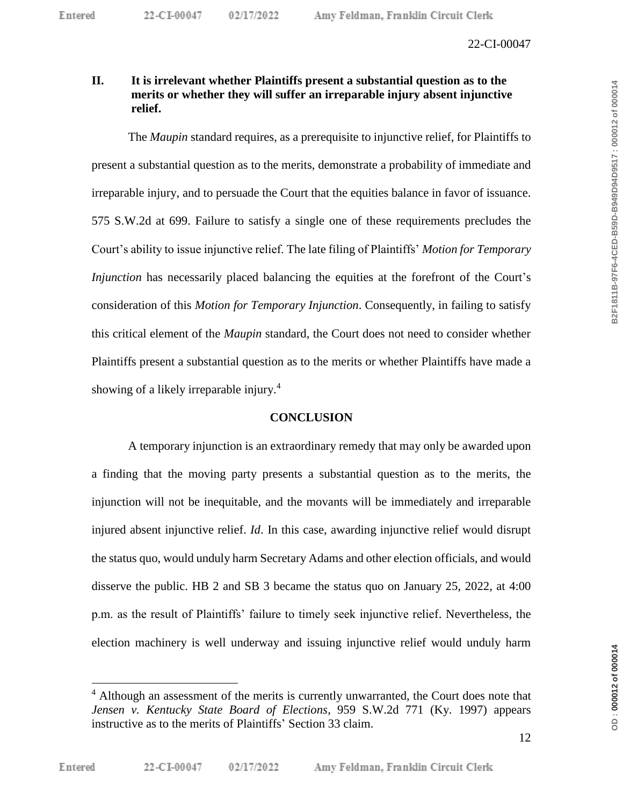# **II. It is irrelevant whether Plaintiffs present a substantial question as to the merits or whether they will suffer an irreparable injury absent injunctive relief.**

The *Maupin* standard requires, as a prerequisite to injunctive relief, for Plaintiffs to present a substantial question as to the merits, demonstrate a probability of immediate and irreparable injury, and to persuade the Court that the equities balance in favor of issuance. 575 S.W.2d at 699. Failure to satisfy a single one of these requirements precludes the Court's ability to issue injunctive relief. The late filing of Plaintiffs' *Motion for Temporary Injunction* has necessarily placed balancing the equities at the forefront of the Court's consideration of this *Motion for Temporary Injunction*. Consequently, in failing to satisfy this critical element of the *Maupin* standard, the Court does not need to consider whether Plaintiffs present a substantial question as to the merits or whether Plaintiffs have made a showing of a likely irreparable injury.<sup>4</sup>

## **CONCLUSION**

A temporary injunction is an extraordinary remedy that may only be awarded upon a finding that the moving party presents a substantial question as to the merits, the injunction will not be inequitable, and the movants will be immediately and irreparable injured absent injunctive relief. *Id*. In this case, awarding injunctive relief would disrupt the status quo, would unduly harm Secretary Adams and other election officials, and would disserve the public. HB 2 and SB 3 became the status quo on January 25, 2022, at 4:00 p.m. as the result of Plaintiffs' failure to timely seek injunctive relief. Nevertheless, the election machinery is well underway and issuing injunctive relief would unduly harm

DD:000012 of 000014

 $\overline{a}$ 

<sup>&</sup>lt;sup>4</sup> Although an assessment of the merits is currently unwarranted, the Court does note that *Jensen v. Kentucky State Board of Elections*, 959 S.W.2d 771 (Ky. 1997) appears instructive as to the merits of Plaintiffs' Section 33 claim.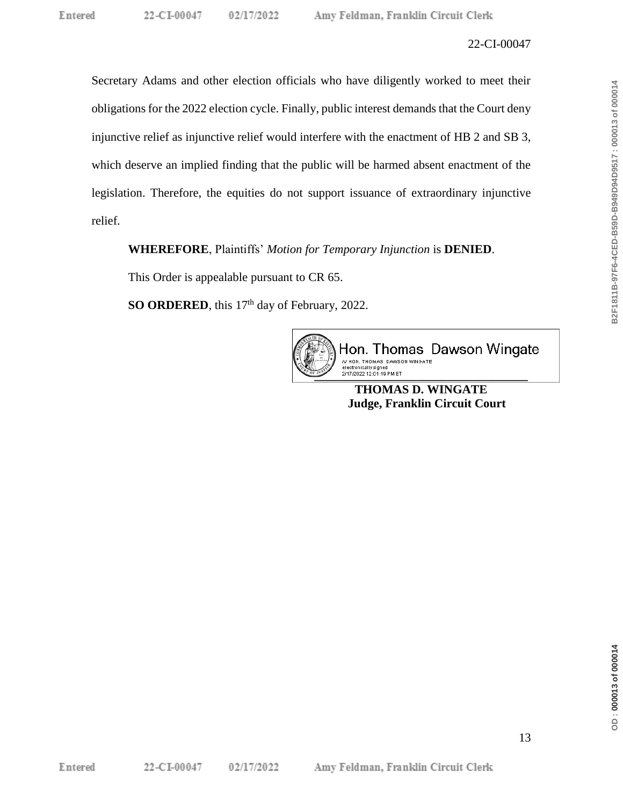Secretary Adams and other election officials who have diligently worked to meet their obligations for the 2022 election cycle. Finally, public interest demands that the Court deny injunctive relief as injunctive relief would interfere with the enactment of HB 2 and SB 3, which deserve an implied finding that the public will be harmed absent enactment of the legislation. Therefore, the equities do not support issuance of extraordinary injunctive relief.

**WHEREFORE**, Plaintiffs' *Motion for Temporary Injunction* is **DENIED**.

This Order is appealable pursuant to CR 65.

**SO ORDERED**, this 17<sup>th</sup> day of February, 2022.



Hon. Thomas Dawson Wingate /s/ HON. THOMAS DAWSON WINGATE **\_\_\_\_\_\_\_\_\_\_\_\_\_\_\_\_\_\_\_\_\_\_\_\_\_\_\_\_\_\_\_\_\_\_\_**

**THOMAS D. WINGATE Judge, Franklin Circuit Court**